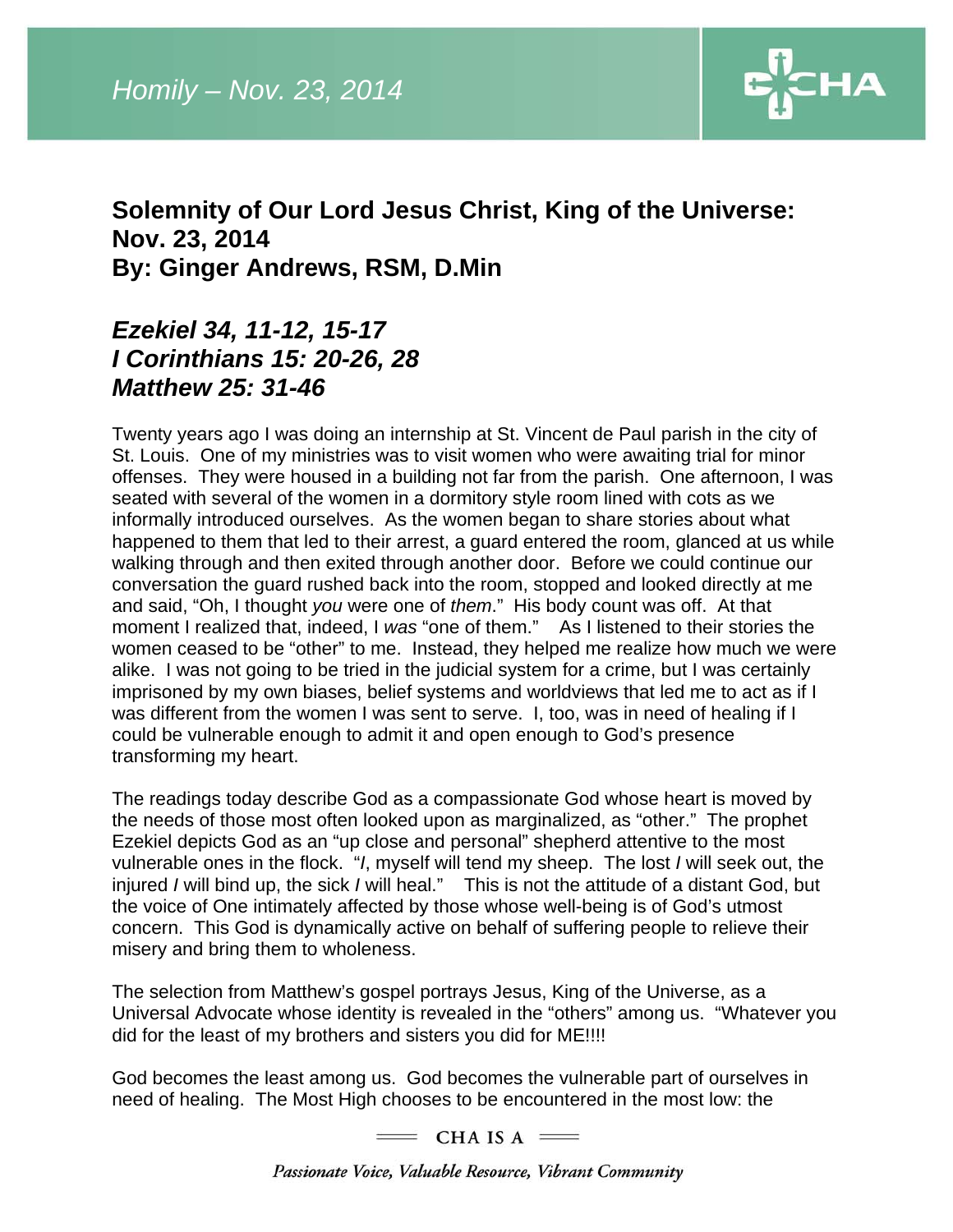

## **Solemnity of Our Lord Jesus Christ, King of the Universe: Nov. 23, 2014 By: Ginger Andrews, RSM, D.Min**

## *Ezekiel 34, 11-12, 15-17 I Corinthians 15: 20-26, 28 Matthew 25: 31-46*

Twenty years ago I was doing an internship at St. Vincent de Paul parish in the city of St. Louis. One of my ministries was to visit women who were awaiting trial for minor offenses. They were housed in a building not far from the parish. One afternoon, I was seated with several of the women in a dormitory style room lined with cots as we informally introduced ourselves. As the women began to share stories about what happened to them that led to their arrest, a guard entered the room, glanced at us while walking through and then exited through another door. Before we could continue our conversation the guard rushed back into the room, stopped and looked directly at me and said, "Oh, I thought *you* were one of *them*." His body count was off. At that moment I realized that, indeed, I *was* "one of them." As I listened to their stories the women ceased to be "other" to me. Instead, they helped me realize how much we were alike. I was not going to be tried in the judicial system for a crime, but I was certainly imprisoned by my own biases, belief systems and worldviews that led me to act as if I was different from the women I was sent to serve. I, too, was in need of healing if I could be vulnerable enough to admit it and open enough to God's presence transforming my heart.

The readings today describe God as a compassionate God whose heart is moved by the needs of those most often looked upon as marginalized, as "other." The prophet Ezekiel depicts God as an "up close and personal" shepherd attentive to the most vulnerable ones in the flock. "*I*, myself will tend my sheep. The lost *I* will seek out, the injured *I* will bind up, the sick *I* will heal." This is not the attitude of a distant God, but the voice of One intimately affected by those whose well-being is of God's utmost concern. This God is dynamically active on behalf of suffering people to relieve their misery and bring them to wholeness.

The selection from Matthew's gospel portrays Jesus, King of the Universe, as a Universal Advocate whose identity is revealed in the "others" among us. "Whatever you did for the least of my brothers and sisters you did for ME!!!!

God becomes the least among us. God becomes the vulnerable part of ourselves in need of healing. The Most High chooses to be encountered in the most low: the

 $=$  CHA IS A  $=$ 

Passionate Voice, Valuable Resource, Vibrant Community